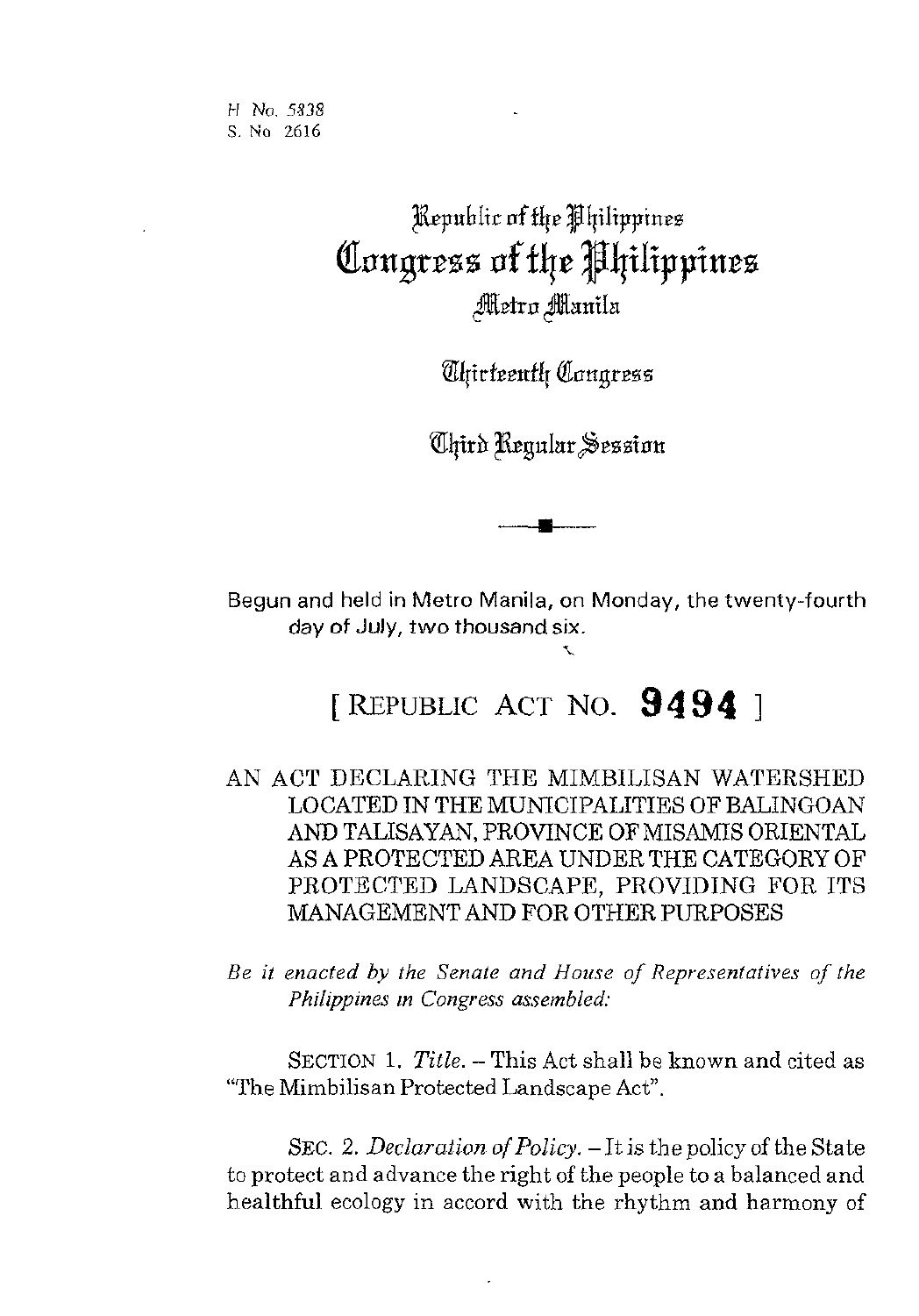*H Ne.* **5138**  *S.* No 2616

## Republic of the Philippines Congress of the Philippines Metro Manila

*Aliirteenth Congress* 

*Chird Regular Session* 

Begun and held in Metro Manila, on Monday, the twenty-fourth day of July, two thousand six.<br>>

## [ REPUBLIC ACT NO. **94 94** <sup>1</sup>

AN ACT DECLARING THE MIMBILISAN WATERSHED LOCATED IN THE MUNICIPALITIES OF BALINGOAN AND TALISAYAN, PROVINCE OF MISAMIS ORIENTAL AS A PROTECTED AREA UNDER THE CATEGORY OF PROTECTED LANDSCAPE, PROVIDING FOR ITS MANAGEMENT AND FOR OTHER PURPOSES

*Be it enacted by the Senate and House of Representatives of the Philippines in Congress assembled:* 

SECTION 1. *Title.* – This Act shall be known and cited as "The Mimbilisan Protected Landscape Act".

SEC. 2. *Declaration of Policy.* - It is the policy of the State to protect and advance the right of the people to a balanced and healthful ecology in accord with the rhythm and harmony of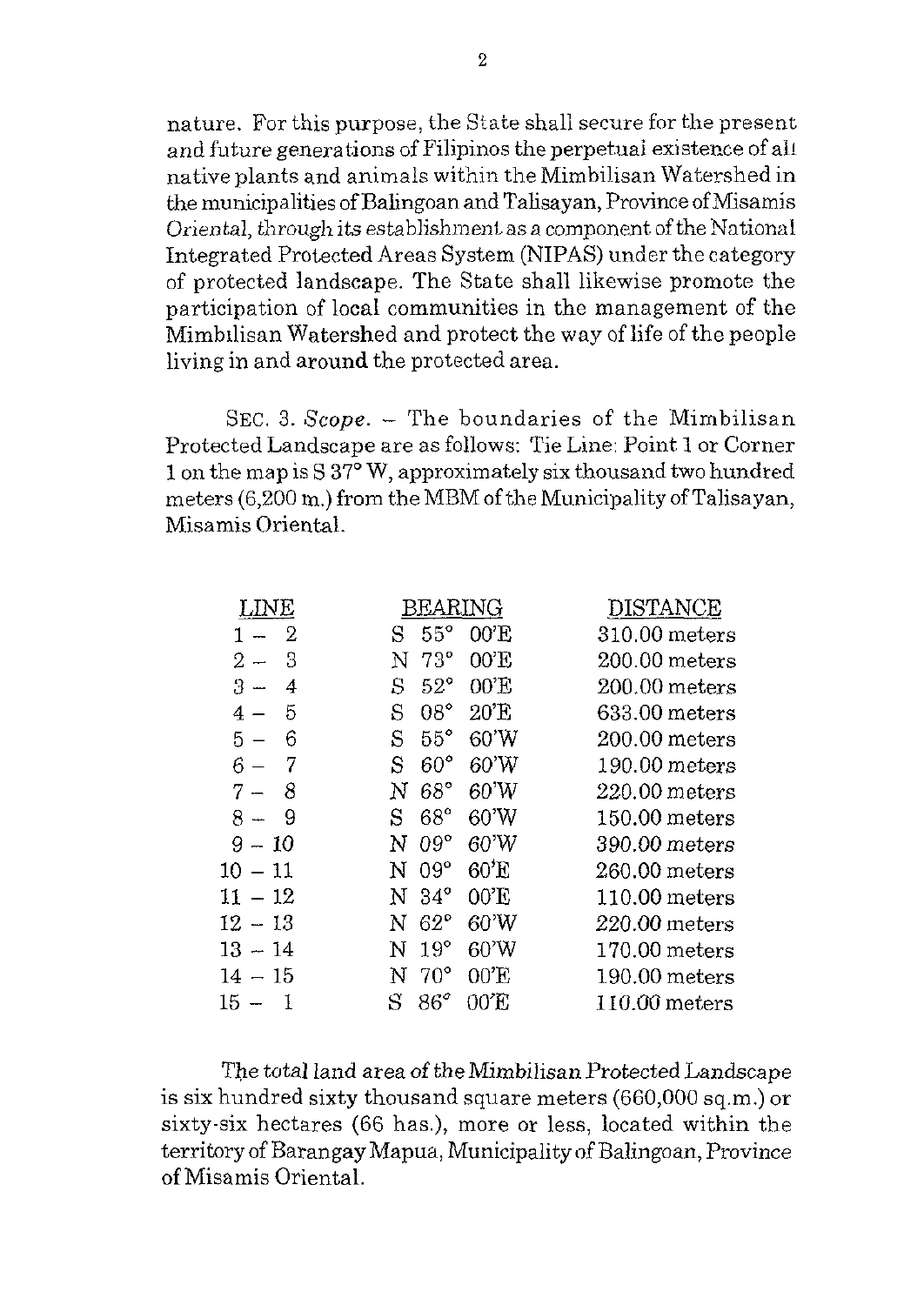nature. For this purpose, the State shall secure for the present and future generations of Filipinos the perpetuai existeme of all native plants and animals within the Mimbilisan Watershed in the municipalities of Balingoan and Talisayan, Province ofMisamis *Oriental, through its establishment as a component of the National* Integrated Protected Areas System (NIPAS) under the category of protected landscape. The State shall likewise promote the participation of local communities in the management of the Mimbilisan Watershed and protect the way of life of the people living in and around the protected area.

SEC. 3. *Scope.* - The boundaries of the Mimbilisan Protected Landscape are as follows: Tie Line: Point 1 or Corner 1 on the map is S 37° W, approximately six thousand two hundred meters  $(6,200 \text{ m.})$  from the MBM of the Municipality of Talisayan, Misamis Oriental.

| LINE        | 3EARING                   | DISTANCE        |
|-------------|---------------------------|-----------------|
| 2           | $55^{\circ}$<br>00'E<br>S | 310.00 meters   |
| 3<br>$2-$   | $73^\circ$<br>00'E<br>N   | $200.00$ meters |
| $3 -$<br>4  | 00'E<br>$52^{\circ}$<br>S | $200.00$ meters |
| 5<br>4      | $08^{\circ}$<br>20'E<br>S | $633.00$ meters |
| 6<br>$5-$   | $55^{\circ}$<br>60'W<br>S | $200.00$ meters |
| 6           | 60'W<br>$60^{\circ}$<br>S | $190.00$ meters |
| 8<br>$7 -$  | 68°<br>60'W<br>N          | $220.00$ meters |
| 9<br>8 –    | $68^\circ$<br>60'W<br>S   | $150.00$ meters |
| $9 - 10$    | $09^{\circ}$<br>60'W<br>N | 390.00 meters   |
| $10\,-\,11$ | 60'E<br>$09^\circ$<br>N   | 260.00 meters   |
| $11\,-\,12$ | $34^\circ$<br>00'E<br>N   | $110.00$ meters |
| 12 – 13     | $62^\circ$<br>60'W<br>N   | 220.00 meters   |
| $13 - 14$   | $19^{\circ}$<br>60'W<br>N | $170.00$ meters |
| $14 - 15$   | $70^{\circ}$<br>00'E<br>N | $190.00$ meters |
| 15 –        | 86°<br>S<br>00'E          | $110.00$ meters |
|             |                           |                 |

*The* total land area of theMimbilisan Protected Landscape is six hundred sixty thousand square meters (660,000 sq.m.) or sixty-six hectares (66 has.), more or less, located within the territory of Barangay Mapua, Municipality of Balingoan, Province of Misamis Oriental.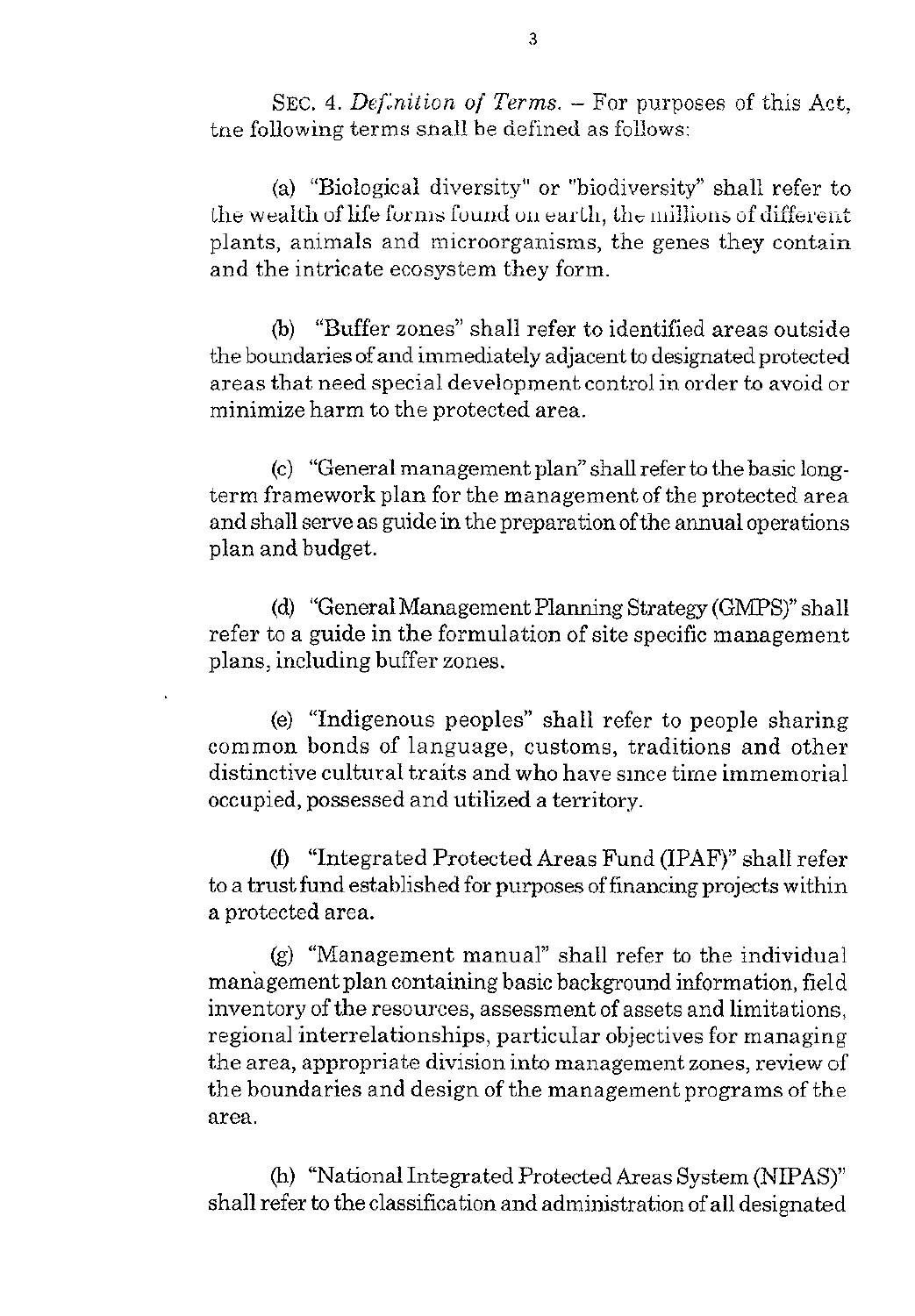SEC. 4. *Def.nition of Terms.* – For purposes of this Act, the following terms snall be defined as follows:

(a) "Biological diversity" or "biodiversity" shall refer to the wealth of life forms found on earth, the millions of different plants, animals and microorganisms, the genes they contain and the intricate ecosystem they form.

(b) "Buffer zones" shall refer to identified areas outside the boundaries of and immediately adjacent to designated protected areas that need special development control in order to avoid or minimize harm to the protected area.

(c) "General management plan" shall refer to the basic longterm framework plan for the management of the protected area and shall serve as guide in the preparation ofthe annual operations plan and budget.

(d) "General Management Planning Strategy *(GMPS)"* shall refer to a guide in the formulation of site specific management plans, including buffer zones.

(e) "Indigenous peoples" shall refer to people sharing common bonds of language, customs, traditions and other distinctive cultural traits and who have since time immemorial occupied, possessed and utilized a territory.

(0 "Integrated Protected Areas Fund (IPAF)" shall refer to a trust fund established for purposes of financing projects within a protected area.

(g) "Management manual" shall refer to the individual management plan containing basic background information, field inventory of the resources, assessment of assets and limitations, regional interrelationships, particular objectives for managing the area, appropriate division into management zones, review of the boundaries and design of the management programs of the area.

(h) "National Integrated Protected Areas System (NIPAS)" shall refer to the classification and administration of all designated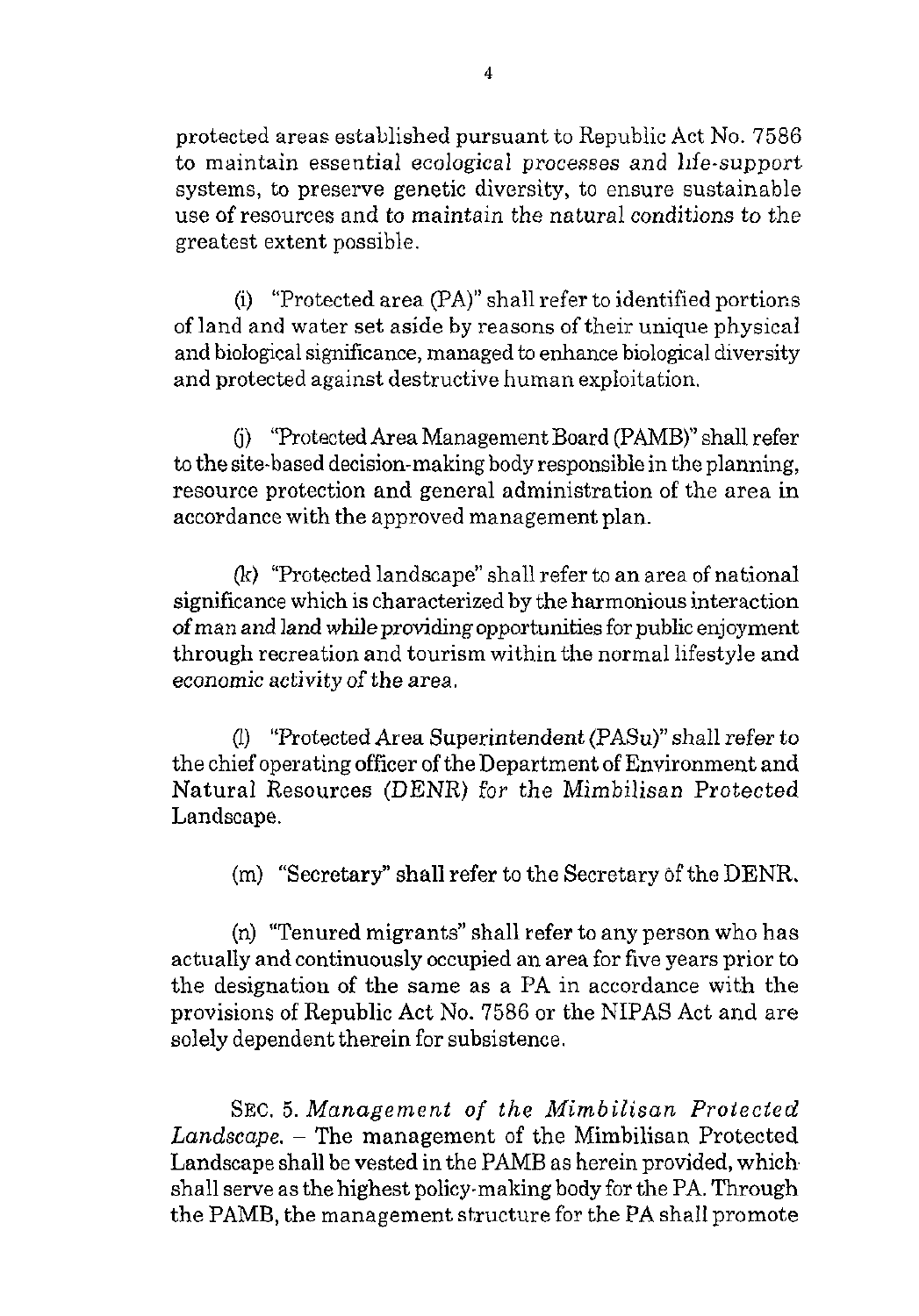protected areas established pursuant to Republic Act No. 7586 to maintain essential ecological processes and life-support systems, to preserve genetic diversity, to ensure sustainable use of resources and to maintain the natural conditions to the greatest extent possible.

(i) "Protected area  $(PA)$ " shall refer to identified portions of land and water set aside by reasons of their unique physical and biological significance, managed **to** enhance biological diversity and protected against destructive human exploitation.

6) "Protected Area Management Board (PAMB)" shall refer **to** the site-based decision-making body responsible in the planning, resource protection and general administration of the area in accordance with the approved management plan.

(lt) "Protected landscape" shall refer to an area of national significance which is characterized by the harmonious interaction of man and land while providing opportunities for public enjoyment through recreation and tourism within the normal lifestyle and economic activityof the area.

(l) "Protected Area Superintendent (PASu)" shall refer to the chief operating officer of the Department of Environment and Natural Resources (DENR) for the Mimbilisan Protected Landscape.

(m) "Secretary" shall refer to the Secretary of the DENR.

(n) "Tenured migrants" shall refer to any person who has actually and continuously occupied an area for five years prior to the designation of the same as a PA in accordance with the provisions of Republic Act No. 7586 or the NIPAS Act and are solely dependent therein for subsistence.

SEC. *5. Management of* the *Mimbilisan* Protected *Landscape.* - The management of the Mimbilisan Protected Landscape shall be vested in the PAMB as herein provided, which. shall serve as the highest policy-making body for the PA. Through the PAMB, the management structure for the PA shall promote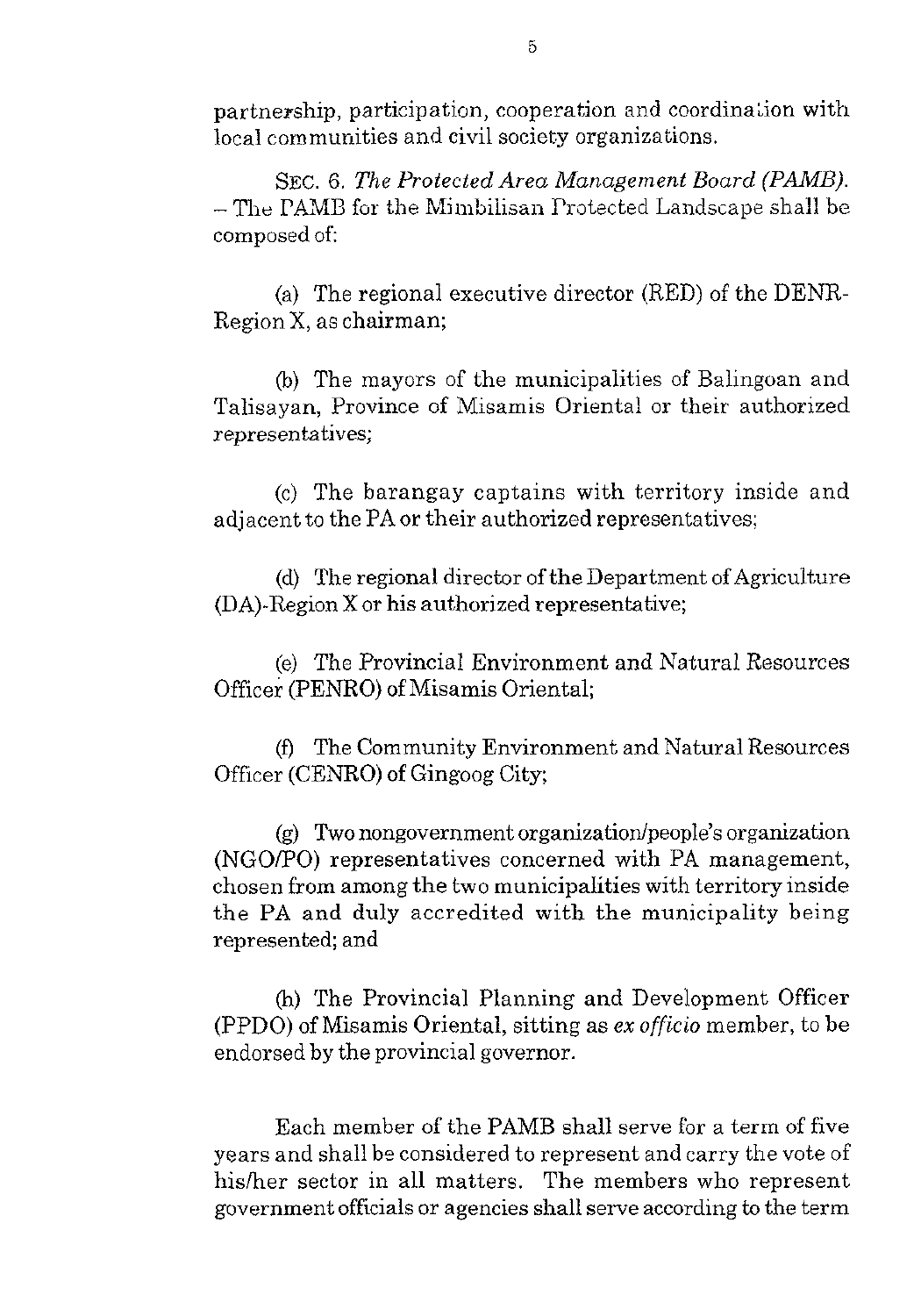partnership, participation, cooperation and coordinalion with local communities and civil society organizations.

SEC. *6. The Protected Area Management Board (PMB).*  - The PAMB for the Mimbilisan Protected Landscape shall be composed of:

(a) The regional executive director (RED) of the DENR-Region X, as chairman;

@I) The mayors of the municipalities of Balingoan and Talisayan, Province of Misamis Oriental or their authorized representatives;

*(e)* The barangay captains with territory inside and adjacent to the PA or their authorized representatives;

(d) The regional director of the Department of Agriculture (DA)-Region X or his authorized representative;

(e) The Provincial Environment and Natural Resources Officer (PENRO) of Misamis Oriental;

(0 The Community Environment and Natural Resources Officer (CENRO) of Gingoog City;

 $(g)$  Two nongovernment organization/people's organization (NGO/PO) representatives concerned with PA management, chosen from among the two municipalities with territory inside the PA and duly accredited with the municipality being represented; and

(h) The Provincial Planning and Development Officer (PPDO) of Misamis Oriental, sitting as *ex* officio member, to be endorsed by the provincial governor.

Each member of the PAMB shall serve for a term of five years and shall be considered to represent and carry the vote of hisher sector in all matters. The members who represent government officials or agencies shall serve according to the term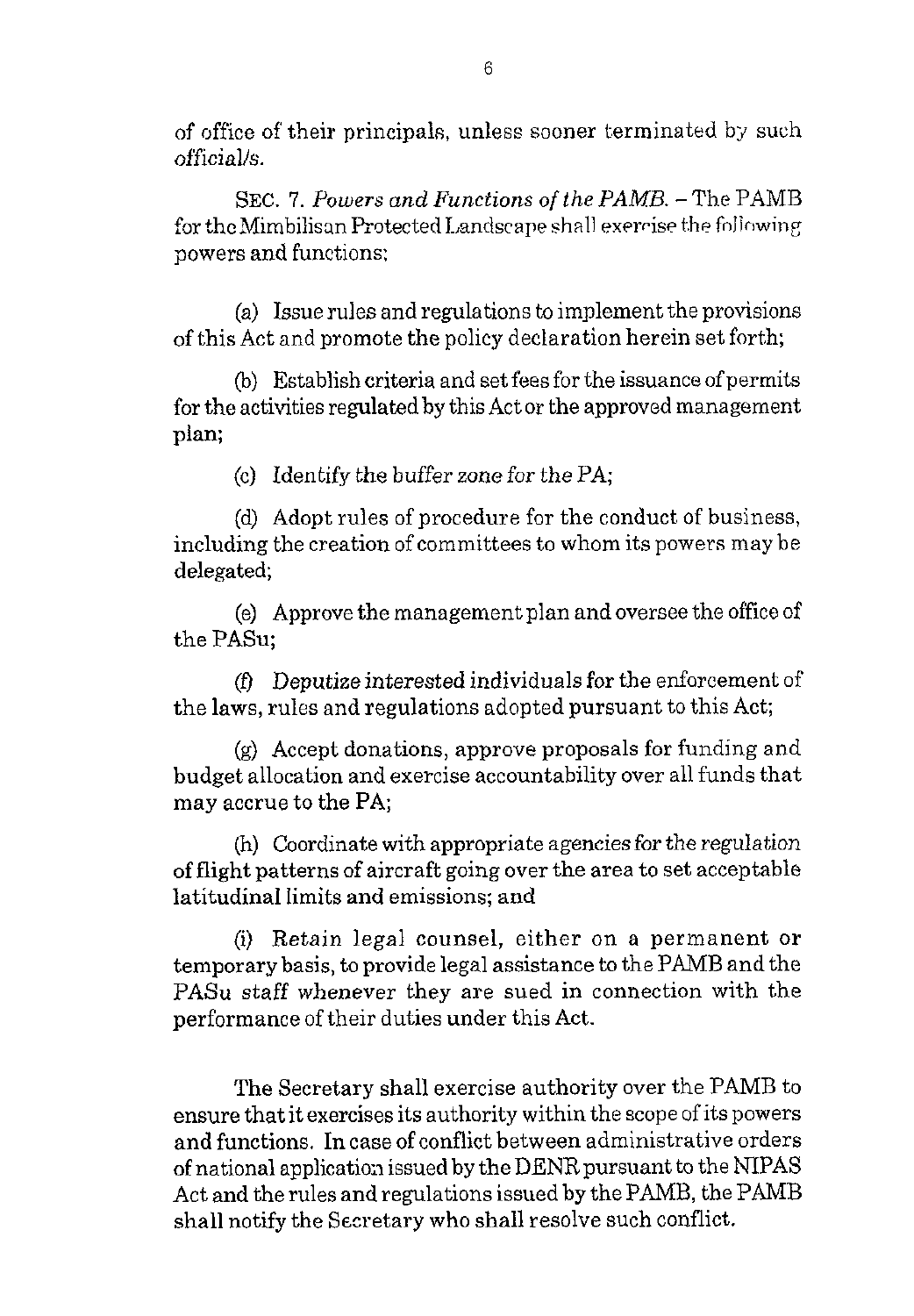of office of their principals, unless sooner terminated by such officialk.

SEC. 7. *Powers and Functions of the PAMB.* -The PAMB for the Mimbilisan Protected Landscape shall exerrise the following powers and functions:

(a) Issue rules and regulations to implement the provisions of this Act and promote the policy declaration herein set forth;

(b) Establish criteria and set fees for the issuance of permits for the activities regulated by this Act or the approved management plan;

(c) Identify the buffer zone for the PA;

(d) Adopt rules of procedure for the conduct of business, including the creation of committees to whom its powers may be delegated;

(e) Approve the management plan and oversee the office of the PASu;

*(0* Deputize interested individuals for the enforcement of the laws, rules and regulations adopted pursuant to this Act;

(9) Accept donations, approve proposals for funding and budget allocation and exercise accountability over all funds that may accrue to the PA;

(h) Coordinate with appropriate agencies for *the* regulation of flight patterns of aircraft going over the area to set acceptable latitudinal limits and emissions; and

(i) Retain legal counsel, either on a permanent or temporary basis, to provide legal assistance to the PAMB and the PASu staff whenever they are sued in connection with the performance of their duties under this Act.

The Secretary shall exercise authority over the PAMB to ensure that it exercises its authority within the scope of its powers and functions. In case of conflict between administrative orders of national application issued by the DENR pursuant to the NIPAS Act and the rules and regulations issued by the PAMB, the PAMB shall notify the Secretary who shall resolve such conflict.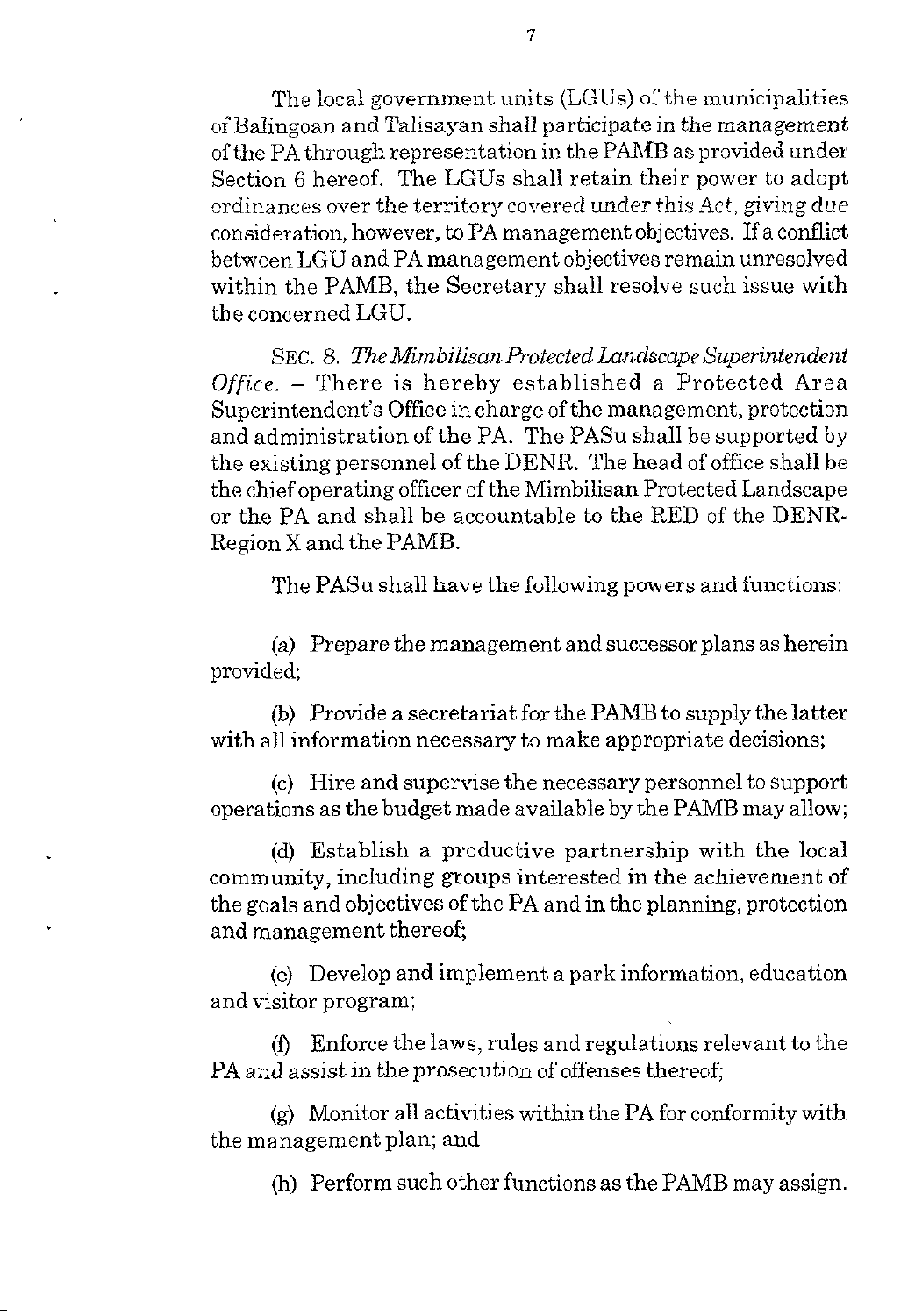The local government units (LGUs) of the municipalities of Baiingoan and Talisayan shall participate in the management ofthe PA through representation in the PMIB as provided under Section 6 hereof. The LGUs shall retain their power to adopt ordinances over the territory covered under this Act, giving due consideration, however, to PA management objectives. If a conflict between LGU and PA management objectives remain unresolved within the PAMB, the Secretary shall resolve such issue with the concerned LGU.

SEC. *8. The MimbilisanProtected Landscape Superintendent Office.* - There is hereby established a Protected Area Superintendent's Office in charge of the management, protection and administration of the PA. The PASu shall be supported by the existing personnel of the DENR. The head of office shall be the chief operating officer of the Mimbilisan Protected Landscape or the PA and shall be accountable to the RED of the DENR-Region X and the PAMB.

The PASu shall have the following powers and functions:

(a) Prepare the management and successor plans as herein provided;

(b) Provide a secretariat for the PAMB to supply the latter with all information necessary to make appropriate decisions;

(c) Hire and supervise the necessary personnel to support operations as the budget made available by the PAMB may allow;

(d) Establish a productive partnership with the local community, including groups interested in the achievement of the goals and objectives of the PA and in the planning, protection and management thereof;

(e) Develop and implement a park information, education and visitor program;

PA and assist in the prosecution of offenses thereof; (f) Enforce the laws, rules and regulations relevant to the

the management plan; and (9) Monitor all activities within the PA for conformity with

(h) Perform such other functions as the PAMB may assign.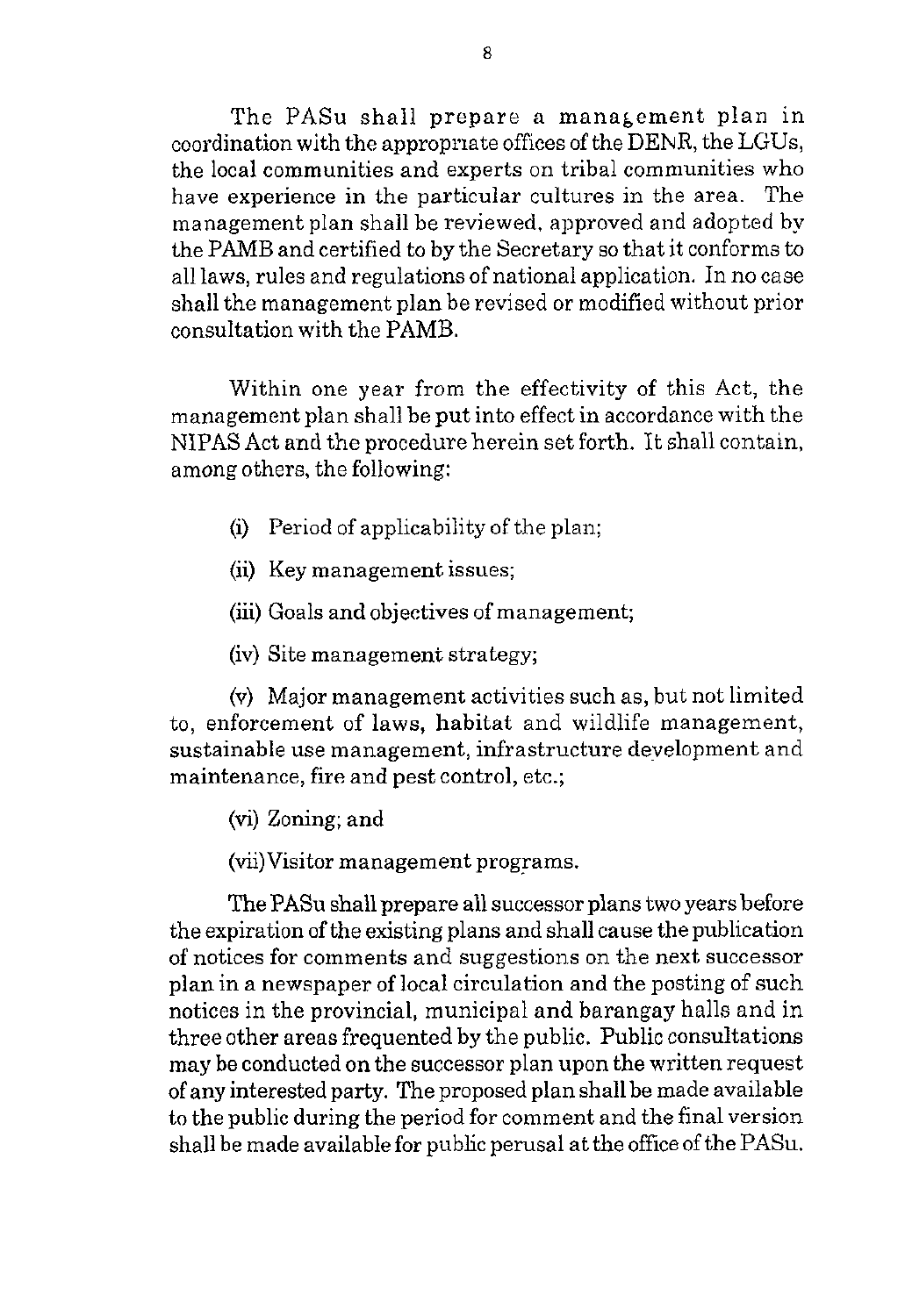The PASu shall prepare a management plan in coordination with the appropnate offices of the DENR, the LGUs, the local communities and experts on tribal communities who have experience in the particular cultures in the area. The management plan shall be reviewed, approved and adopted by the PAMB and certified to by the Secretary so that it conforms to all laws, rules and regulations of national application. In no case shall the management plan be revised or modified without prior consultation with the PAMB.

Within one year from the effectivity of this Act, the management plan shall be put into effect in accordance with the NIPAS Act and the procedure herein set forth. It shall contain, among others, the following:

- (i) Period of applicability of the plan;
- (ii) Key management issues;
- (iii) Goals and objectives of management;
- (iv) Site management strategy;

**(v)** Major management activities such as, but not limited to, enforcement of laws, habitat and wildlife management, sustainable use management, infrastructure development and maintenance, fire and pest control, etc.;

(vi) Zoning; and

(vii)Visitor management programs.

The PASu shall prepare all successor plans two years before the expiration of the existing plans and shall cause the publication of notices for comments and suggestions on the next successor plan in a newspaper of local circulation and the posting of such notices in the provincial, municipal and barangay halls and in three other areas frequented by the public. Public consultations may be conducted on the successor plan upon the written request of any interested party. The proposed plan shall be made available to the public during the period for comment and the final version shall be made available for public perusal at the office of the PASu.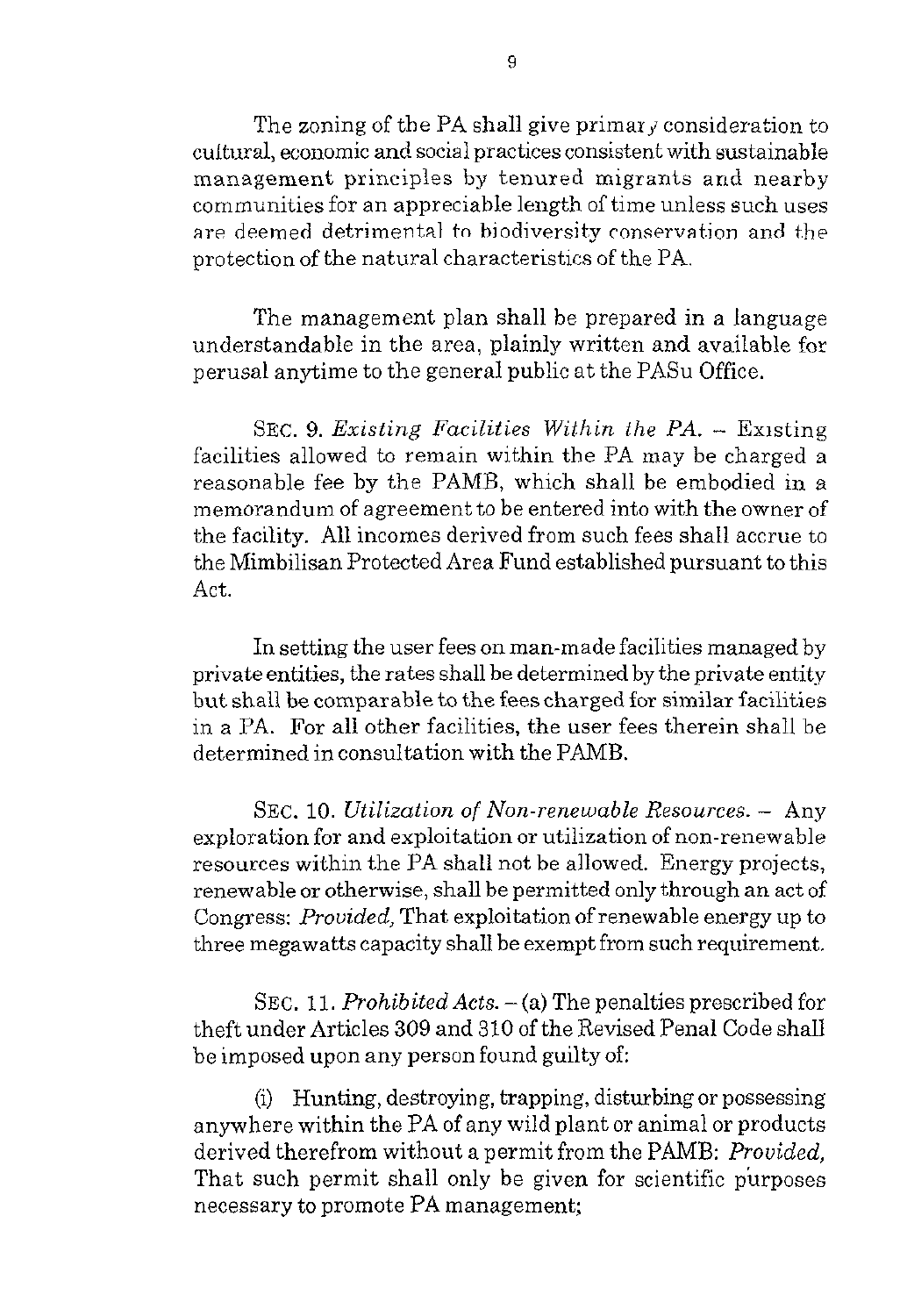The zoning of the PA shall give primar  $\gamma$  consideration to cultural, economic and social practices consistent with sustainable management principles by tenured migrants and nearby communities for an appreciable length ol time unless such uses are deemed detrimental to biodiversity conservation and the protection of the natural characteristics of the PA.

The management plan shall he prepared in a language understandable in the area, plainly written and available for perusal anytime to the general public at the PASu Office.

SEC. **9.** *Existing Facilities Within the PA.* - Existing facilities allowed to remain within the PA may be charged a reasonable fee by the PAMB, which shall be embodied in a memorandum of agreement to be entered into with the owner of the facility. All incomes derived from such fees shall accrue to the Mimbilisan Protected Area Fund established pursuant to this Act.

In setting the user fees on man-made facilities managed by private entities, the rates shall be determined by the private entity but shall be comparable to the fees charged for similar facilities in a PA. For all other facilities, the user fees therein shall be determined in consultation with the PAMB.

SEC. 10. *Utilization of Non-renewable Resources.* - Any exploration for and exploitation or utilization of non-renewable resources within the PA shall not be allowed. Energy projects, renewable or otherwise, shall be permitted only through an act of Congress: *Prouided,* That exploitation of renewable energy up to three megawatts capacity shall be exempt from such requirement.

SEC. 11. *Prohibited Acts.*  $-$  (a) The penalties prescribed for theft under Articles 309 and 310 of the Revised Penal Code shall be imposed upon any person found guilty of

(i) Hunting, destroying, trapping, disturbing or possessing anywhere within the PA of any wild plant or animal or products derived therefrom without a permit from the PAMB: Provided. That such permit shall only be given for scientific purposes necessary to promote PA management;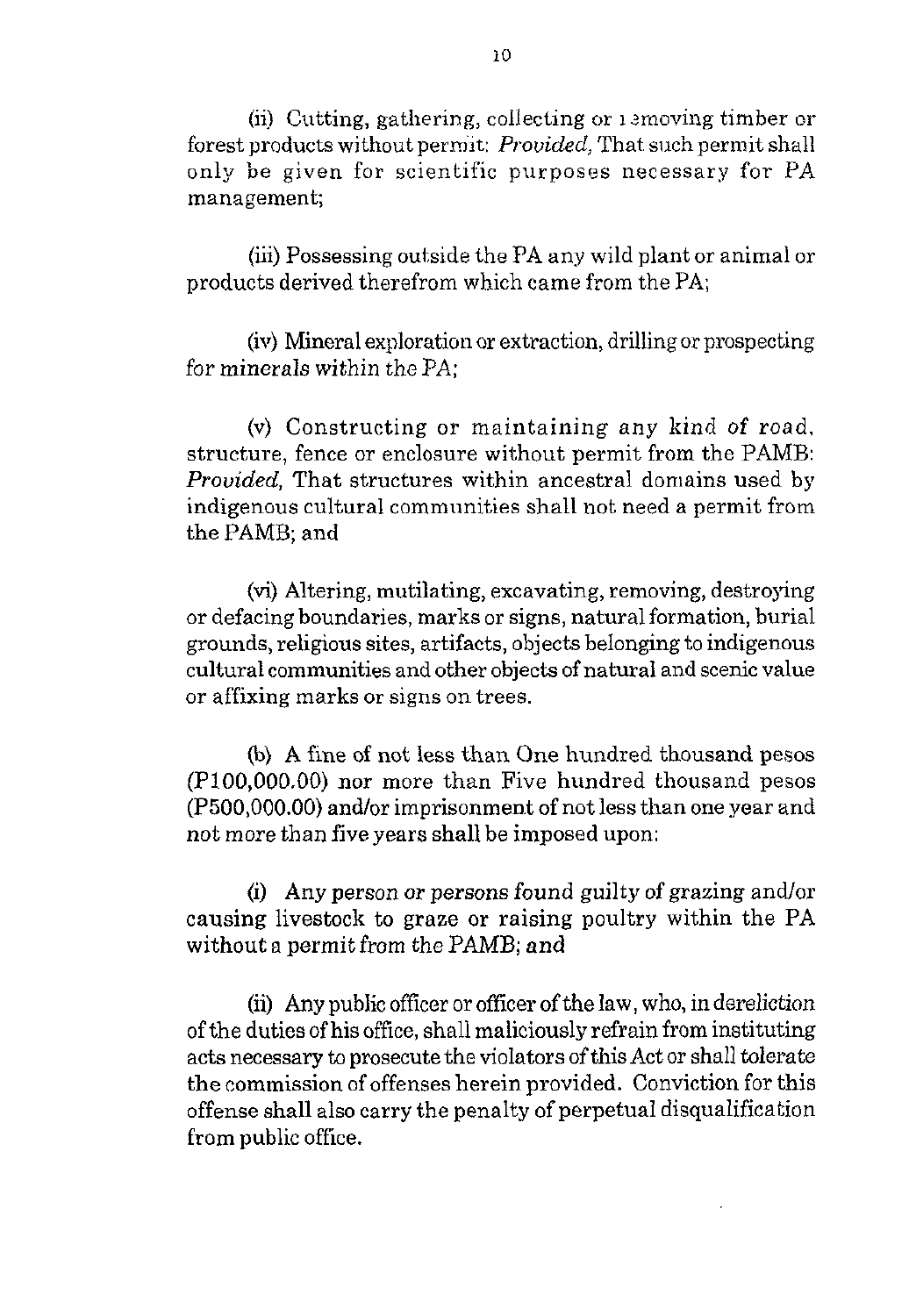(ii) Cutting, gathering, collecting or *I* amoving timber or forest products without perm'it: *Prouided,* That such permit shall only be given for scientific purposes necessary for PA managemenk

(iii) Possessing outside the PA any wild plant or animal or products derived therefrom which came from the PA,

(iv) Mineral exploration or extraction, drillingor prospecting for minerals within the PA:

(v) Constructing or maintaining any kind of road, structure, fence or enclosure without permit from the PAMB: *Provided*, That structures within ancestral domains used by indigenous cultural communities shall not need a permit from the PAMB; and

(vi) Altering, mutilating, excavating, removing, destroying or defacing boundaries, marks or signs, natural formation, burial grounds, religious sites, artifacts, objects belonging to indigenous cultural communities and other objects of natural and scenic value or affixing marks or signs on trees.

(b) **A** fine of not less than One hundred thousand pesos (PlO0,OOO.OO) nor more than Five hundred thousand pesos (P500,000.00) and/or imprisonment of not less than one year and not more than five years shall be imposed upon:

(i) Any person or persons found guilty of grazing andlor causing livestock to graze or raising poultry within the PA without a permit from the PAMB; and

(ii) Any public officer or officer of the law, who, in dereliction of the duties of his office, shall maliciously refrain from instituting acts necessary to prosecute the violators of this Act or shall tolerate the commission of offenses herein provided. Conviction for this offense shall also carry the penalty of perpetual disqualification from public office.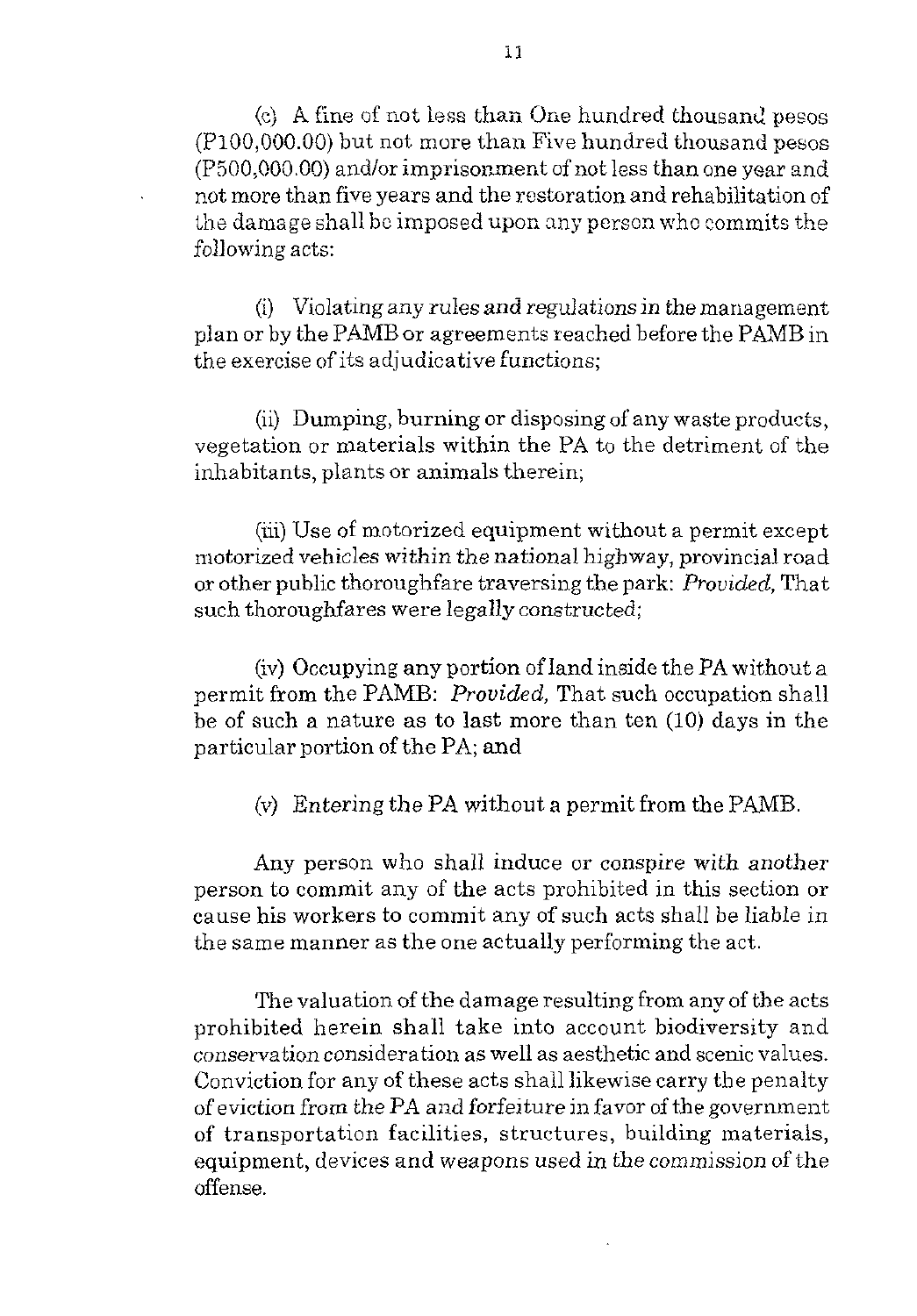*(e)* A fine of not less than One hundred thousand pesos  $(P100,000.00)$  but not more than Five hundred thousand pesos  $(P500,000.00)$  and/or imprisonment of not less than one year and not more than five years and the restoration and rehabilitation of the damage shall be imposed upon any person who commits the following acts:

(i) Violating any rules and regulations in the management plan or by the PMB or agreements reached before the PAMB in the exercise of its adjudicative functions;

(ii) Dumping, burning or disposing of any waste products, vegetation or materials within the PA to the detriment of the inhabitants, plants or animals therein;

(iii) Use of motorized equipment without a permit except motorized vehicles within the national highway, provincial road or other public thoroughfare traversing the park: *Prouided,* That such thoroughfares were legally constructed;

(iv) Occupying any portion of land inside the **FA** without a permit from the PAMB: *Prouided,* That such occupation shall be of such a nature as to last more than ten (IO) days in the particular portion of the PA; and

**(1,)** Entering the PA without a permit from the PAMB.

Any person who shall induce or conspire with another person to commit any of the acts prohibited in this section or cause his workers to commit any of such acts shall be liable in the same manner as the one actually performing the act.

The valuation of the damage resulting from any of the acts prohibited herein shall take into account biodiversity and conservation consideration as well as aesthetic and scenic values. Conviction for any of these acts shall likewise carry the penalty of eviction from the PA and forfeiture in favor of the government of transportation facilities, structures, building materials, equipment, devices and weapons used in the commission of the offense.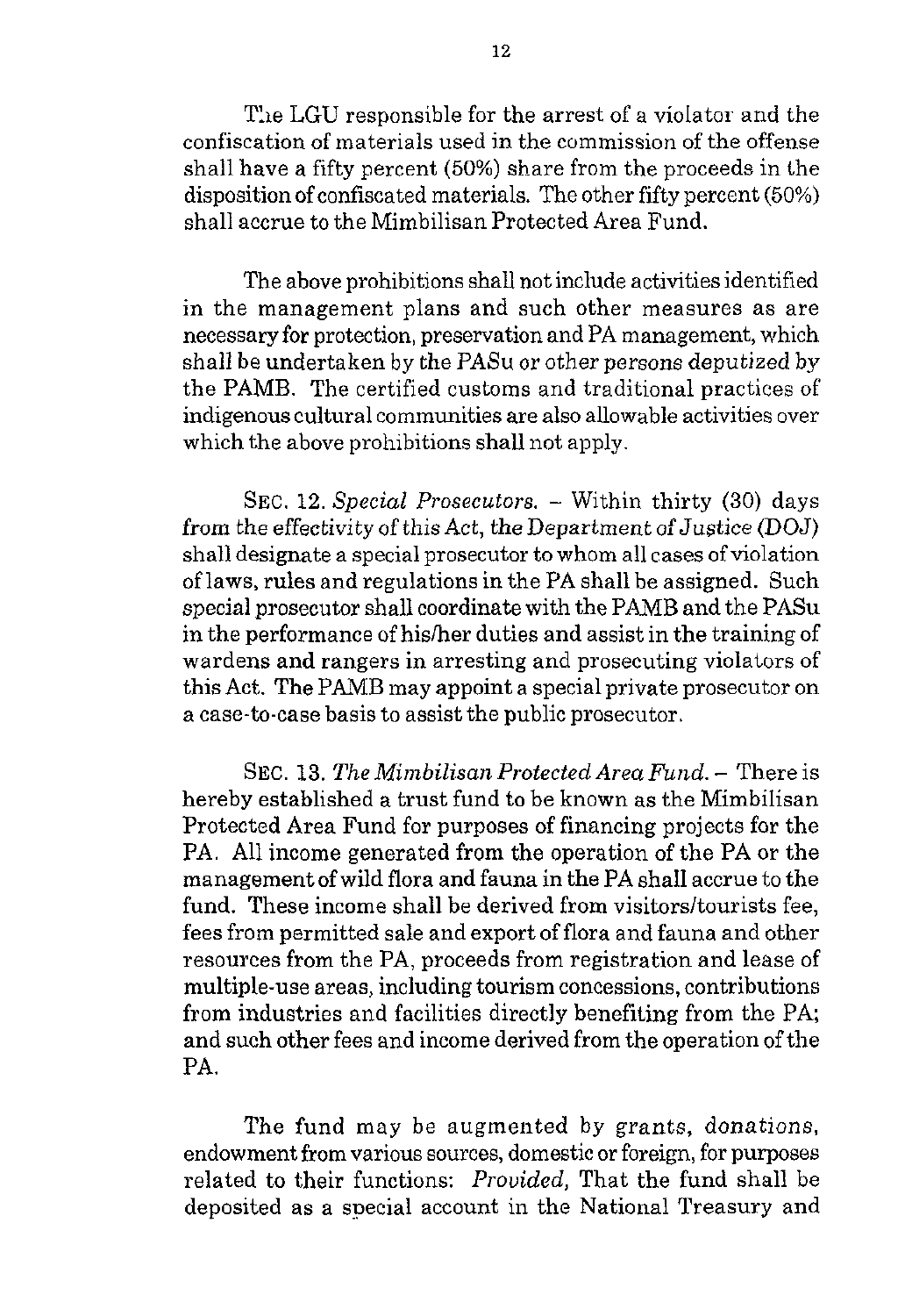The LGU responsible for the arrest of a violator and the confiscation of materials used in the commission of the offense shall have a fifty percent (50%) share from the proceeds in the disposition of confiscated materials. The other fifty percent (50%) shall accrue to the Mimbilisan Protected Area Fund.

The above prohibitions shall not include activities identified in the management plans and such other measures as are necessary for protection, presenration and **PA** management, which shall be undertaken by the PASu or other persons deputized by the PAMB. The certified customs and traditional practices of indigenous cultural communities are also allowable activities over which the above prohibitions shall not apply.

SEC. **12.** *Special Prosecutors.* - Within thirty (30) days from the effectivity of this Act, the Department of Justice (DOJ) shall designate a special prosecutor to whom all cases of violation of laws, rules and regulations in the PA shall be assigned. Such special prosecutor shall coordinate with the PAMB and the PASu in the performance of hislher duties and assist in the training of wardens and rangers in arresting and prosecuting violators of this Act. *The* PAMB may appoint a special private prosecutor on a case-to-case basis to assist the public prosecutor.

SEC. **13.** *The Mimbilisan Protected Area Fund.* – There is hereby established a trust fund to be known as the Mimbilisan Protected Area Fund for purposes of financing projects for the PA. All income generated from the operation of the PA or the management ofwild flora and fauna in the PA shall accrue to the fund. These income shall be derived from visitors/tourists fee, fees from permitted sale and export of flora and fauna and other resources from the PA, proceeds from registration and lease of multiple-use areas, including tourism concessions, contributions from industries and facilities directly benefiting from the PA, and such other fees and income derived from the operation of the PA.

The fund may be augmented by grants, donations, endowment from various sources, domestic or foreign, for purposes related to their functions: *Prouided,* That the fund shall be deposited as a special account in the National Treasury and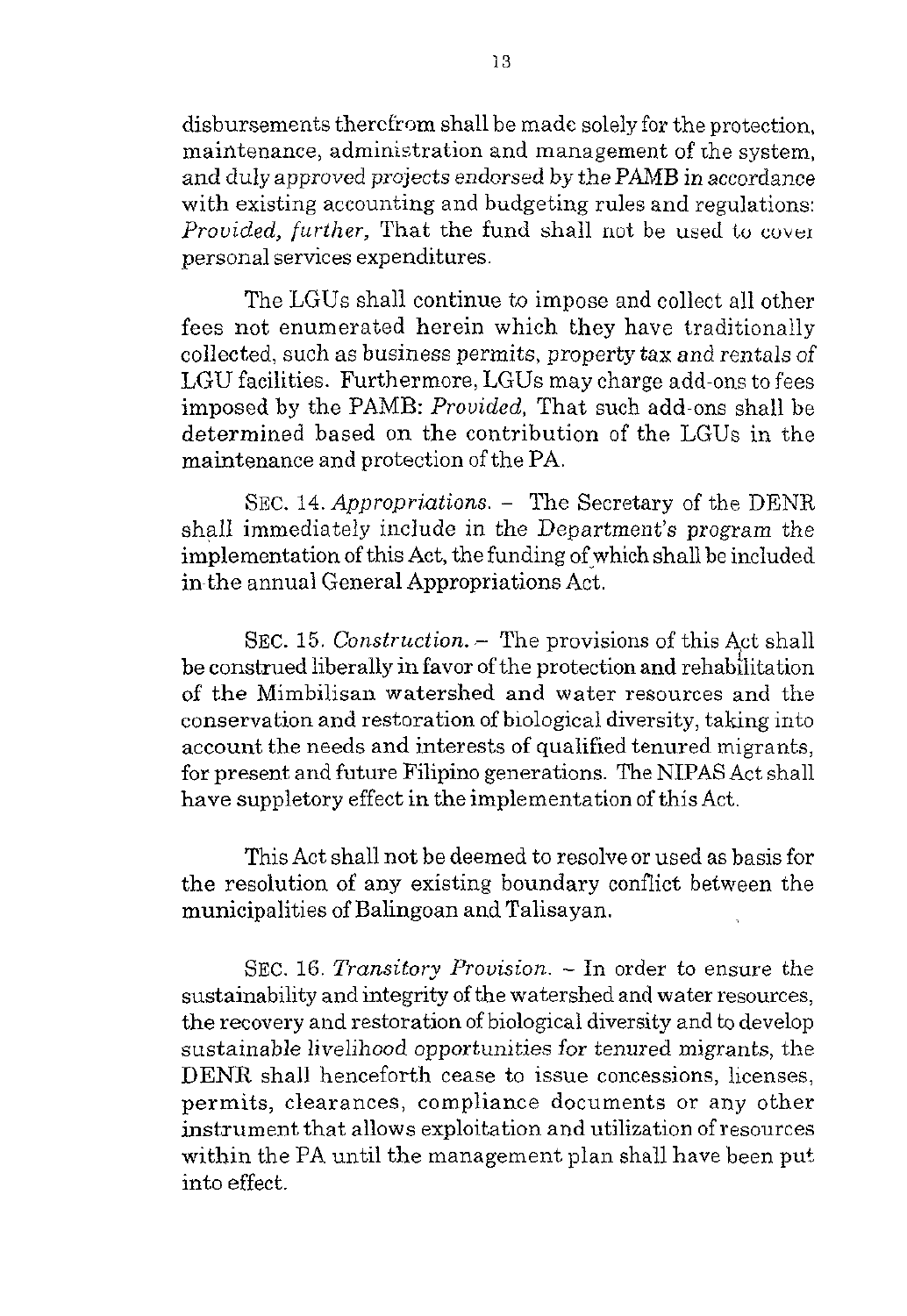disbursements thercfrom shall be made solely for the protection, maintenance, administration and management of the system, and duly approved projects endorsed by the PAMB in accordance with existing accounting and budgeting rules and regulations: Provided, further, That the fund shall not be used to cover personal services expenditures.

The LGUs shall continue to impose and collect all other fees not enumerated herein which they have traditionally collected, such as business permits, property tax and rentals of LGU facilities. Furthermore, LGUs may charge add-ons to fees imposed by the PAMB: Provided, That such add-ons shall be determined based on the contribution of the LGUs in the maintenance and protection of the PA.

SEC. **14.** Appropriations. - The Secretary of the DENR shall immediately include in the Department's program the implementation of this Act, the funding of which shall be included inthe annual General Appropriations Act.

SEC. 15. Construction.  $-$  The provisions of this Act shall be construed liberally in favor of the protection and rehabilitation of the Mimbilisan watershed and water resources and the conservation and restoration of biological diversity, taking into account the needs and interests of qualified tenured migrants, for present and future Filipino generations. The NIPAS Act shall have suppletory effect in the implementation of this Act.

This Act shall not be deemed to resolve or used as basis for the resolution of any existing boundary conflict between the municipalities of Balingoan and Talisayan.

SEC. 16. Transitory Provision. - In order to ensure the sustainability and integrity of the watershed and water resources, the recovery and restoration of biological diversity and to develop sustainable livelihood opportunities for tenured migrants, the DENR shall henceforth cease to issue concessions, licenses, permits, clearances, compliance documents or any other instrument that allows exploitation and utilization of resources within the PA until the management plan shall have been put into effect.